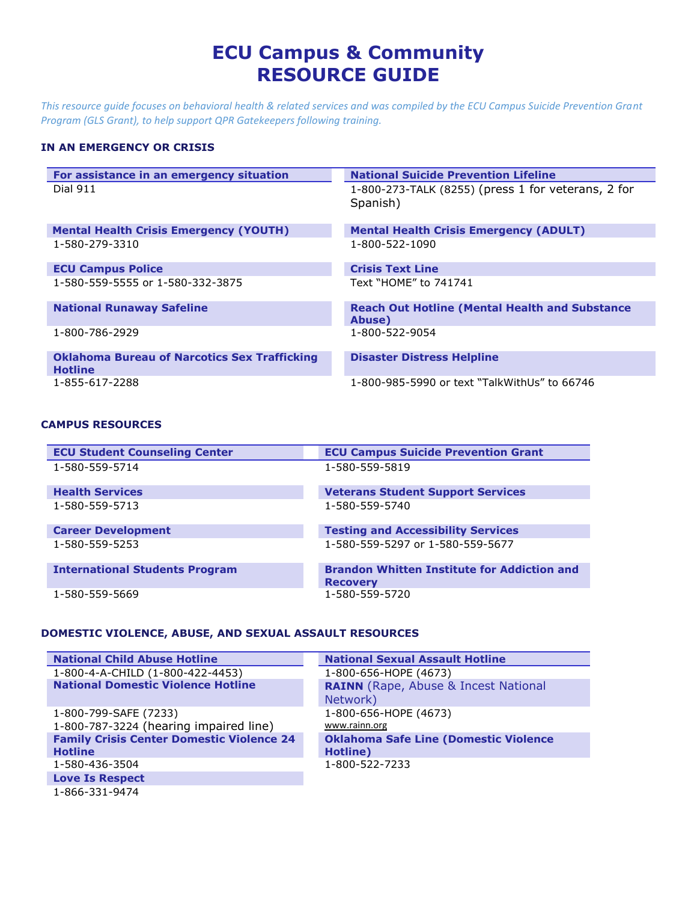# **ECU Campus & Community RESOURCE GUIDE**

*This resource guide focuses on behavioral health & related services and was compiled by the ECU Campus Suicide Prevention Grant Program (GLS Grant), to help support QPR Gatekeepers following training.*

#### **IN AN EMERGENCY OR CRISIS**

| For assistance in an emergency situation            | <b>National Suicide Prevention Lifeline</b>           |
|-----------------------------------------------------|-------------------------------------------------------|
|                                                     |                                                       |
| Dial 911                                            | 1-800-273-TALK (8255) (press 1 for veterans, 2 for    |
|                                                     | Spanish)                                              |
|                                                     |                                                       |
|                                                     |                                                       |
| <b>Mental Health Crisis Emergency (YOUTH)</b>       | <b>Mental Health Crisis Emergency (ADULT)</b>         |
| 1-580-279-3310                                      | 1-800-522-1090                                        |
|                                                     |                                                       |
| <b>ECU Campus Police</b>                            | <b>Crisis Text Line</b>                               |
| 1-580-559-5555 or 1-580-332-3875                    | Text "HOMF" to 741741                                 |
|                                                     |                                                       |
| <b>National Runaway Safeline</b>                    | <b>Reach Out Hotline (Mental Health and Substance</b> |
|                                                     | Abuse)                                                |
| 1-800-786-2929                                      | 1-800-522-9054                                        |
|                                                     |                                                       |
| <b>Oklahoma Bureau of Narcotics Sex Trafficking</b> | <b>Disaster Distress Helpline</b>                     |
| <b>Hotline</b>                                      |                                                       |
|                                                     |                                                       |
| 1-855-617-2288                                      | 1-800-985-5990 or text "TalkWithUs" to 66746          |

#### **CAMPUS RESOURCES**

| <b>ECU Student Counseling Center</b>  | <b>ECU Campus Suicide Prevention Grant</b>                            |
|---------------------------------------|-----------------------------------------------------------------------|
| 1-580-559-5714                        | 1-580-559-5819                                                        |
| <b>Health Services</b>                | <b>Veterans Student Support Services</b>                              |
| 1-580-559-5713                        | 1-580-559-5740                                                        |
| <b>Career Development</b>             | <b>Testing and Accessibility Services</b>                             |
| 1-580-559-5253                        | 1-580-559-5297 or 1-580-559-5677                                      |
| <b>International Students Program</b> | <b>Brandon Whitten Institute for Addiction and</b><br><b>Recovery</b> |
| 1-580-559-5669                        | 1-580-559-5720                                                        |

## **DOMESTIC VIOLENCE, ABUSE, AND SEXUAL ASSAULT RESOURCES**

| <b>National Child Abuse Hotline</b>              | <b>National Sexual Assault Hotline</b>       |
|--------------------------------------------------|----------------------------------------------|
| 1-800-4-A-CHILD (1-800-422-4453)                 | 1-800-656-HOPE (4673)                        |
| <b>National Domestic Violence Hotline</b>        | <b>RAINN</b> (Rape, Abuse & Incest National  |
|                                                  | Network)                                     |
| 1-800-799-SAFE (7233)                            | 1-800-656-HOPE (4673)                        |
| 1-800-787-3224 (hearing impaired line)           | www.rainn.org                                |
| <b>Family Crisis Center Domestic Violence 24</b> | <b>Oklahoma Safe Line (Domestic Violence</b> |
| <b>Hotline</b>                                   | Hotline)                                     |
| 1-580-436-3504                                   | 1-800-522-7233                               |
| <b>Love Is Respect</b>                           |                                              |

1-866-331-9474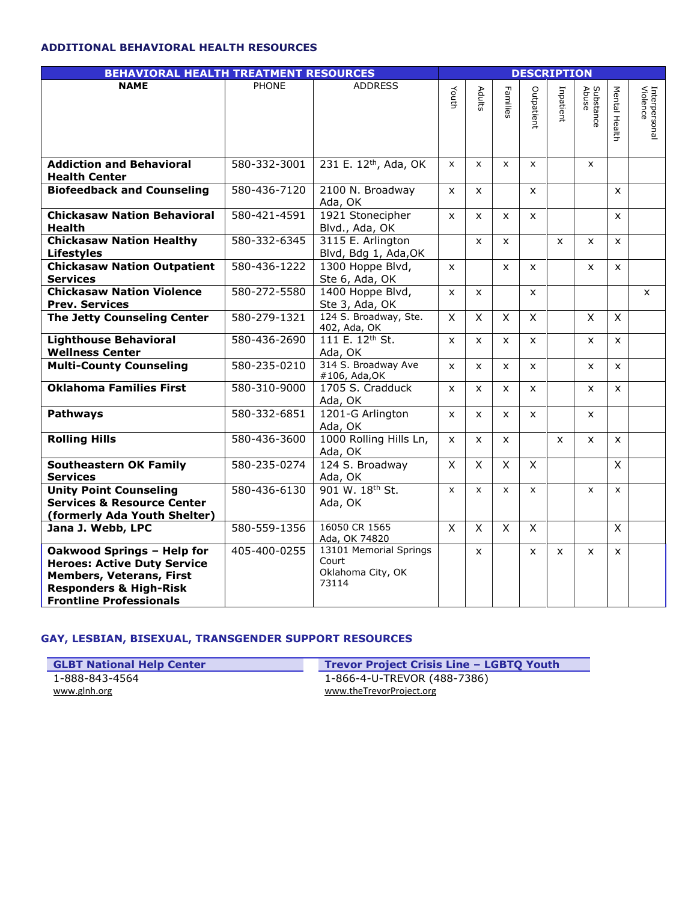#### **ADDITIONAL BEHAVIORAL HEALTH RESOURCES**

| <b>BEHAVIORAL HEALTH TREATMENT RESOURCES</b>                                                                                                                               |              | <b>DESCRIPTION</b>                                            |              |                |                         |              |              |                    |                         |                           |
|----------------------------------------------------------------------------------------------------------------------------------------------------------------------------|--------------|---------------------------------------------------------------|--------------|----------------|-------------------------|--------------|--------------|--------------------|-------------------------|---------------------------|
| <b>NAME</b>                                                                                                                                                                | <b>PHONE</b> | <b>ADDRESS</b>                                                | Youth        | Adults         | Families                | Outpatient   | Inpatient    | Substance<br>Abuse | Mental Hea<br>흉         | Interpersonal<br>Violence |
| <b>Addiction and Behavioral</b><br><b>Health Center</b>                                                                                                                    | 580-332-3001 | 231 E. 12th, Ada, OK                                          | $\mathsf{x}$ | $\mathsf{x}$   | $\mathsf{x}$            | $\mathsf{x}$ |              | $\mathsf{x}$       |                         |                           |
| <b>Biofeedback and Counseling</b>                                                                                                                                          | 580-436-7120 | 2100 N. Broadway<br>Ada, OK                                   | $\mathsf{x}$ | X              |                         | $\mathsf{x}$ |              |                    | X                       |                           |
| <b>Chickasaw Nation Behavioral</b><br><b>Health</b>                                                                                                                        | 580-421-4591 | 1921 Stonecipher<br>Blvd., Ada, OK                            | $\mathsf{x}$ | $\mathsf{x}$   | $\mathsf{x}$            | $\mathsf{x}$ |              |                    | X                       |                           |
| <b>Chickasaw Nation Healthy</b><br><b>Lifestyles</b>                                                                                                                       | 580-332-6345 | 3115 E. Arlington<br>Blvd, Bdg 1, Ada, OK                     |              | $\mathsf{x}$   | $\mathsf{x}$            |              | X            | X                  | $\mathsf{x}$            |                           |
| <b>Chickasaw Nation Outpatient</b><br><b>Services</b>                                                                                                                      | 580-436-1222 | 1300 Hoppe Blvd,<br>Ste 6, Ada, OK                            | $\mathsf{x}$ |                | $\mathsf{x}$            | $\mathsf{x}$ |              | $\mathsf{x}$       | X                       |                           |
| <b>Chickasaw Nation Violence</b><br><b>Prev. Services</b>                                                                                                                  | 580-272-5580 | 1400 Hoppe Blvd,<br>Ste 3, Ada, OK                            | $\mathsf{x}$ | $\mathsf{x}$   |                         | $\mathsf{x}$ |              |                    |                         | X                         |
| <b>The Jetty Counseling Center</b>                                                                                                                                         | 580-279-1321 | 124 S. Broadway, Ste.<br>402, Ada, OK                         | X            | $\overline{X}$ | $\overline{\mathsf{x}}$ | X            |              | X                  | $\overline{X}$          |                           |
| <b>Lighthouse Behavioral</b><br><b>Wellness Center</b>                                                                                                                     | 580-436-2690 | 111 E. 12th St.<br>Ada, OK                                    | $\mathsf{x}$ | $\mathsf{x}$   | $\mathsf{x}$            | $\mathsf{x}$ |              | X                  | $\mathsf{x}$            |                           |
| <b>Multi-County Counseling</b>                                                                                                                                             | 580-235-0210 | 314 S. Broadway Ave<br>#106, Ada, OK                          | x            | X              | $\mathsf{x}$            | $\mathsf{x}$ |              | $\mathsf{x}$       | X                       |                           |
| <b>Oklahoma Families First</b>                                                                                                                                             | 580-310-9000 | 1705 S. Cradduck<br>Ada, OK                                   | $\mathsf{x}$ | $\mathsf{x}$   | $\mathsf{x}$            | $\mathsf{x}$ |              | $\mathsf{x}$       | X                       |                           |
| <b>Pathways</b>                                                                                                                                                            | 580-332-6851 | 1201-G Arlington<br>Ada, OK                                   | $\mathsf{x}$ | $\mathsf{x}$   | $\mathsf{x}$            | $\mathsf{x}$ |              | X                  |                         |                           |
| <b>Rolling Hills</b>                                                                                                                                                       | 580-436-3600 | 1000 Rolling Hills Ln,<br>Ada, OK                             | $\mathsf{x}$ | $\mathsf{x}$   | $\mathsf{x}$            |              | $\mathsf{x}$ | $\mathsf{x}$       | X                       |                           |
| <b>Southeastern OK Family</b><br><b>Services</b>                                                                                                                           | 580-235-0274 | 124 S. Broadway<br>Ada, OK                                    | $\mathsf{x}$ | $\mathsf{X}$   | $\mathsf{x}$            | $\mathsf{X}$ |              |                    | X                       |                           |
| <b>Unity Point Counseling</b><br><b>Services &amp; Resource Center</b><br>(formerly Ada Youth Shelter)                                                                     | 580-436-6130 | 901 W. 18th St.<br>Ada, OK                                    | X            | $\mathsf{x}$   | $\mathsf{x}$            | $\mathsf{x}$ |              | $\mathsf{x}$       | $\mathsf{x}$            |                           |
| Jana J. Webb, LPC                                                                                                                                                          | 580-559-1356 | 16050 CR 1565<br>Ada, OK 74820                                | $\mathsf{X}$ | $\mathsf{X}$   | $\mathsf{x}$            | $\mathsf{X}$ |              |                    | $\overline{\mathsf{x}}$ |                           |
| Oakwood Springs - Help for<br><b>Heroes: Active Duty Service</b><br><b>Members, Veterans, First</b><br><b>Responders &amp; High-Risk</b><br><b>Frontline Professionals</b> | 405-400-0255 | 13101 Memorial Springs<br>Court<br>Oklahoma City, OK<br>73114 |              | $\mathsf{x}$   |                         | $\mathsf{x}$ | $\mathsf{x}$ | $\mathsf{x}$       | $\mathsf{x}$            |                           |

### **GAY, LESBIAN, BISEXUAL, TRANSGENDER SUPPORT RESOURCES**

**GLBT National Help Center Trevor Project Crisis Line – LGBTQ Youth** 1-888-843-4564 [www.glnh.org](http://www.glnh.org/) [www.theTrevorProject.org](http://www.thetrevorproject.org/)

1-866-4-U-TREVOR (488-7386)